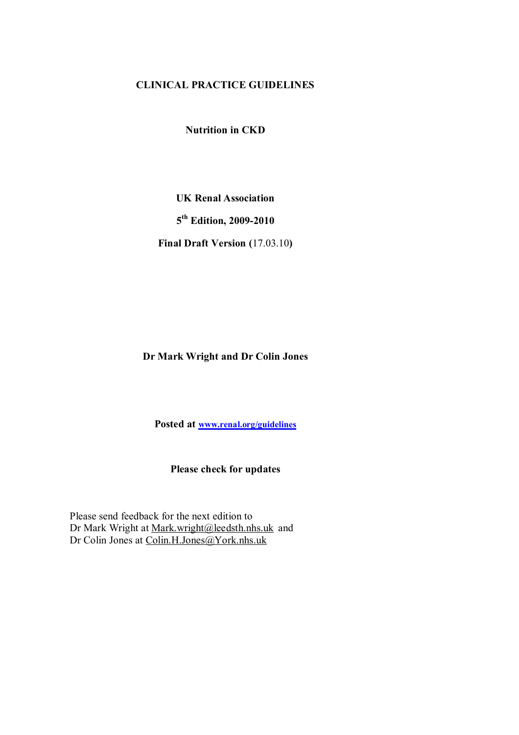# **CLINICAL PRACTICE GUIDELINES**

**Nutrition in CKD** 

**UK Renal Association 5 th Edition, 2009-2010 Final Draft Version (**17.03.10**)** 

# **Dr Mark Wright and Dr Colin Jones**

**Posted at [www.renal.org/guidelines](http://www.renal.org/guidelines)**

**Please check for updates** 

Please send feedback for the next edition to Dr Mark Wright at [Mark.wright@leedsth.nhs.uk](mailto:Mark.wright@leedsth.nhs.uk) and Dr Colin Jones at [Colin.H.Jones@York.nhs.uk](mailto:Colin.H.Jones@York.nhs.uk)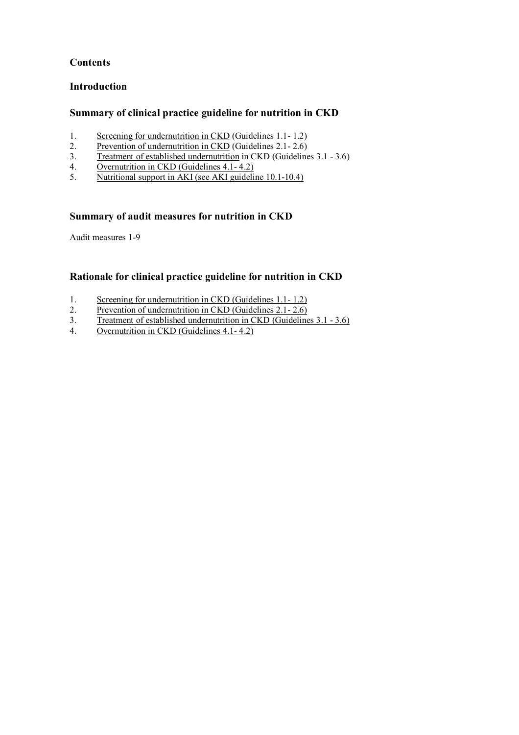# **Contents**

# **Introduction**

# **Summary of clinical practice guideline for nutrition in CKD**

- 1. Screening for undernutrition in CKD (Guidelines 1.1- 1.2)
- 2. Prevention of undernutrition in CKD (Guidelines 2.1-2.6)
- 3. Treatment of established undernutrition in CKD (Guidelines 3.1 3.6)
- 4. Overnutrition in CKD (Guidelines 4.1-4.2)<br>5. Nutritional support in AKI (see AKI guideling
- 5. Nutritional support in AKI (see AKI guideline 10.1-10.4)

# **Summary of audit measures for nutrition in CKD**

Audit measures 1-9

# **Rationale for clinical practice guideline for nutrition in CKD**

- 1. Screening for undernutrition in CKD (Guidelines 1.1-1.2)<br>2. Prevention of undernutrition in CKD (Guidelines 2.1-2.6)
- Prevention of undernutrition in CKD (Guidelines 2.1-2.6)
- 3. Treatment of established undernutrition in CKD (Guidelines 3.1 3.6)
- 4. Overnutrition in CKD (Guidelines 4.1- 4.2)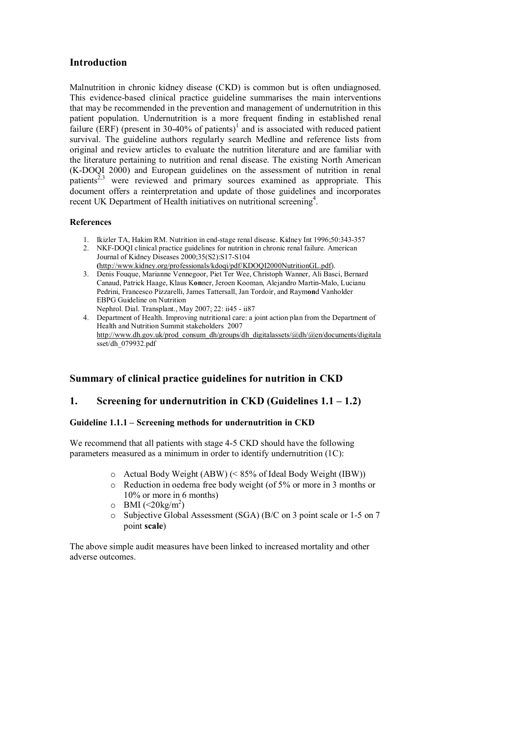# **Introduction**

Malnutrition in chronic kidney disease (CKD) is common but is often undiagnosed. This evidence-based clinical practice guideline summarises the main interventions that may be recommended in the prevention and management of undernutrition in this patient population. Undernutrition is a more frequent finding in established renal failure (ERF) (present in 30-40% of patients)<sup>1</sup> and is associated with reduced patient survival. The guideline authors regularly search Medline and reference lists from original and review articles to evaluate the nutrition literature and are familiar with the literature pertaining to nutrition and renal disease. The existing North American (K-DOQI 2000) and European guidelines on the assessment of nutrition in renal patients<sup>2,3</sup> were reviewed and primary sources examined as appropriate. This document offers a reinterpretation and update of those guidelines and incorporates recent UK Department of Health initiatives on nutritional screening<sup>4</sup>.

## **References**

- 1. Ikizler TA, Hakim RM. Nutrition in end-stage renal disease. Kidney Int 1996;50:343-357
- 2. NKF-DOQI clinical practice guidelines for nutrition in chronic renal failure. American Journal of Kidney Diseases 2000;35(S2):S17-S104 **(**[http://www.kidney.org/professionals/kdoqi/pdf/KDOQI2000NutritionGL.pdf\)](http://www.kidney.org/professionals/kdoqi/pdf/KDOQI2000NutritionGL.pdf).
- 3. Denis Fouque, Marianne Vennegoor, Piet Ter Wee, Christoph Wanner, Ali Basci, Bernard Canaud, Patrick Haage, Klaus K**on**ner, Jeroen Kooman, Alejandro Martin-Malo, Lucianu Pedrini, Francesco Pizzarelli, James Tattersall, Jan Tordoir, and Raym**on**d Vanholder EBPG Guideline on Nutrition Nephrol. Dial. Transplant., May 2007; 22: ii45 - ii87
- 4. Department of Health. Improving nutritional care: a joint action plan from the Department of Health and Nutrition Summit stakeholders 2007 [http://www.dh.gov.uk/prod\\_consum\\_dh/groups/dh\\_digitalassets/@dh/@en/documents/digitala](http://www.dh.gov.uk/prod_consum_dh/groups/dh_digitalassets/@dh/@en/documents/digitala) sset/dh\_079932.pdf

# **Summary of clinical practice guidelines for nutrition in CKD**

## **1. Screening for undernutrition in CKD (Guidelines 1.1 – 1.2)**

### **Guideline 1.1.1 – Screening methods for undernutrition in CKD**

We recommend that all patients with stage 4-5 CKD should have the following parameters measured as a minimum in order to identify undernutrition (1C):

- o Actual Body Weight (ABW) (< 85% of Ideal Body Weight (IBW))
- o Reduction in oedema free body weight (of 5% or more in 3 months or 10% or more in 6 months)
- $\circ$  BMI (<20kg/m<sup>2</sup>)
- o Subjective Global Assessment (SGA) (B/C on 3 point scale or 1-5 on 7 point **scale**)

The above simple audit measures have been linked to increased mortality and other adverse outcomes.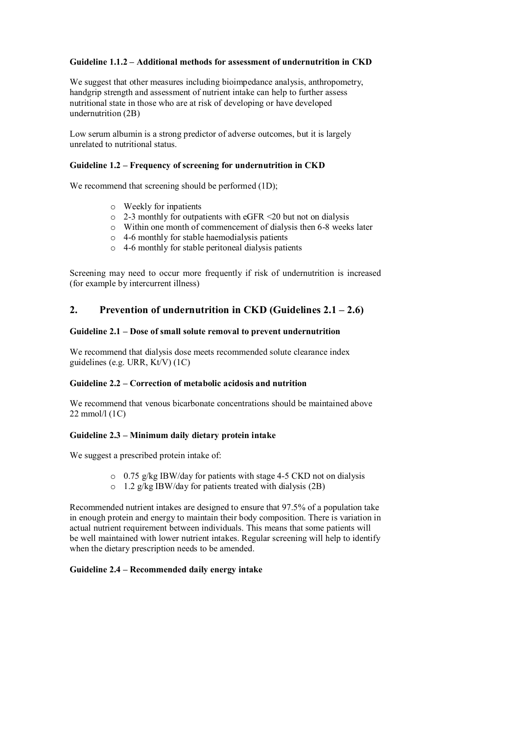## **Guideline 1.1.2 – Additional methods for assessment of undernutrition in CKD**

We suggest that other measures including bioimpedance analysis, anthropometry, handgrip strength and assessment of nutrient intake can help to further assess nutritional state in those who are at risk of developing or have developed undernutrition (2B)

Low serum albumin is a strong predictor of adverse outcomes, but it is largely unrelated to nutritional status.

### **Guideline 1.2 – Frequency of screening for undernutrition in CKD**

We recommend that screening should be performed  $(1D)$ ;

- o Weekly for inpatients
- o 2-3 monthly for outpatients with eGFR <20 but not on dialysis
- o Within one month of commencement of dialysis then 6-8 weeks later
- $\circ$  4-6 monthly for stable haemodialysis patients
- o 4-6 monthly for stable peritoneal dialysis patients

Screening may need to occur more frequently if risk of undernutrition is increased (for example by intercurrent illness)

# **2. Prevention of undernutrition in CKD (Guidelines 2.1 – 2.6)**

### **Guideline 2.1 – Dose of small solute removal to prevent undernutrition**

We recommend that dialysis dose meets recommended solute clearance index guidelines (e.g. URR, Kt/V) (1C)

## **Guideline 2.2 – Correction of metabolic acidosis and nutrition**

We recommend that venous bicarbonate concentrations should be maintained above 22 mmol/l (1C)

### **Guideline 2.3 – Minimum daily dietary protein intake**

We suggest a prescribed protein intake of:

- o 0.75 g/kg IBW/day for patients with stage 4-5 CKD not on dialysis
- o 1.2 g/kg IBW/day for patients treated with dialysis (2B)

Recommended nutrient intakes are designed to ensure that 97.5% of a population take in enough protein and energy to maintain their body composition. There is variation in actual nutrient requirement between individuals. This means that some patients will be well maintained with lower nutrient intakes. Regular screening will help to identify when the dietary prescription needs to be amended.

### **Guideline 2.4 – Recommended daily energy intake**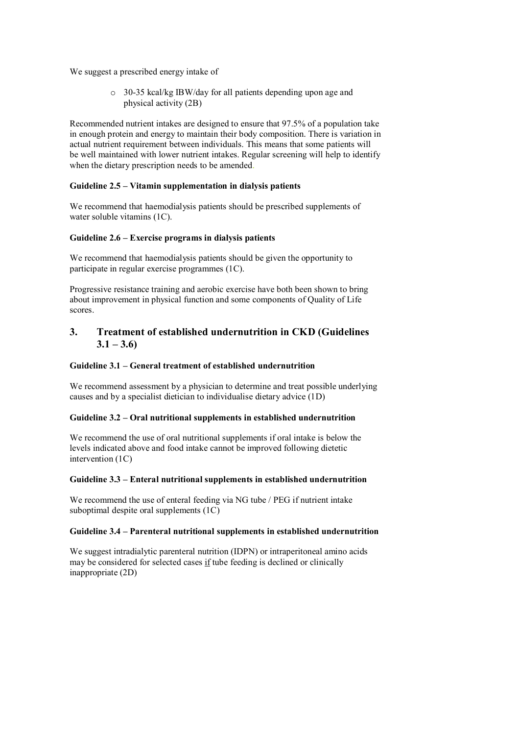We suggest a prescribed energy intake of

o 30-35 kcal/kg IBW/day for all patients depending upon age and physical activity (2B)

Recommended nutrient intakes are designed to ensure that 97.5% of a population take in enough protein and energy to maintain their body composition. There is variation in actual nutrient requirement between individuals. This means that some patients will be well maintained with lower nutrient intakes. Regular screening will help to identify when the dietary prescription needs to be amended.

## **Guideline 2.5 – Vitamin supplementation in dialysis patients**

We recommend that haemodialysis patients should be prescribed supplements of water soluble vitamins (1C).

## **Guideline 2.6 – Exercise programs in dialysis patients**

We recommend that haemodialysis patients should be given the opportunity to participate in regular exercise programmes (1C).

Progressive resistance training and aerobic exercise have both been shown to bring about improvement in physical function and some components of Quality of Life scores.

## **3. Treatment of established undernutrition in CKD (Guidelines**   $3.1 - 3.6$

## **Guideline 3.1 – General treatment of established undernutrition**

We recommend assessment by a physician to determine and treat possible underlying causes and by a specialist dietician to individualise dietary advice (1D)

## **Guideline 3.2 – Oral nutritional supplements in established undernutrition**

We recommend the use of oral nutritional supplements if oral intake is below the levels indicated above and food intake cannot be improved following dietetic intervention (1C)

### **Guideline 3.3 – Enteral nutritional supplements in established undernutrition**

We recommend the use of enteral feeding via NG tube / PEG if nutrient intake suboptimal despite oral supplements (1C)

### **Guideline 3.4 – Parenteral nutritional supplements in established undernutrition**

We suggest intradialytic parenteral nutrition (IDPN) or intraperitoneal amino acids may be considered for selected cases if tube feeding is declined or clinically inappropriate (2D)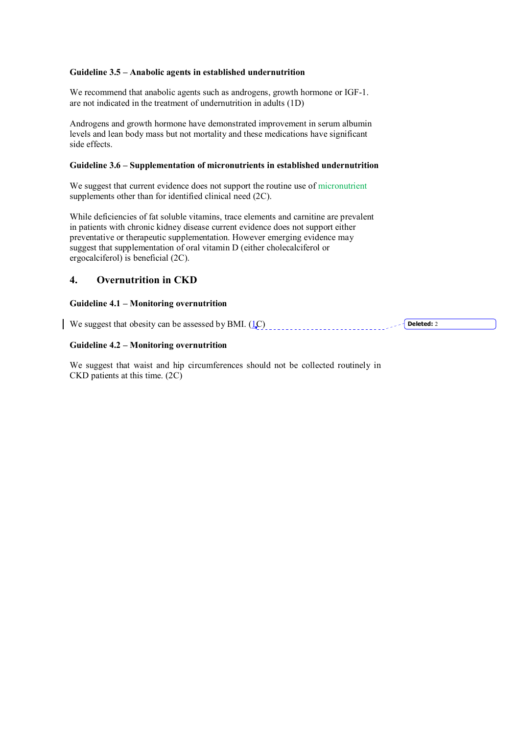### **Guideline 3.5 – Anabolic agents in established undernutrition**

We recommend that anabolic agents such as androgens, growth hormone or IGF-1. are not indicated in the treatment of undernutrition in adults (1D)

Androgens and growth hormone have demonstrated improvement in serum albumin levels and lean body mass but not mortality and these medications have significant side effects.

### **Guideline 3.6 – Supplementation of micronutrients in established undernutrition**

We suggest that current evidence does not support the routine use of micronutrient supplements other than for identified clinical need (2C).

While deficiencies of fat soluble vitamins, trace elements and carnitine are prevalent in patients with chronic kidney disease current evidence does not support either preventative or therapeutic supplementation. However emerging evidence may suggest that supplementation of oral vitamin D (either cholecalciferol or ergocalciferol) is beneficial (2C).

## **4. Overnutrition in CKD**

## **Guideline 4.1 – Monitoring overnutrition**

We suggest that obesity can be assessed by BMI.  $(1C)$ **Deleted:** 2

## **Guideline 4.2 – Monitoring overnutrition**

We suggest that waist and hip circumferences should not be collected routinely in CKD patients at this time. (2C)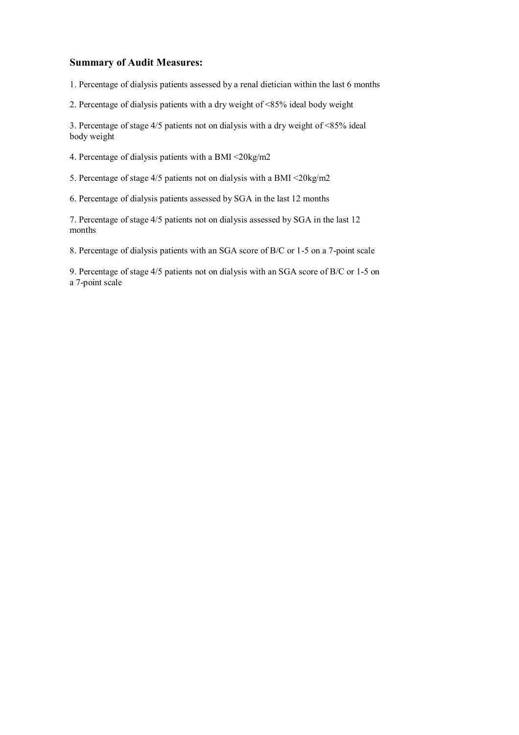# **Summary of Audit Measures:**

1. Percentage of dialysis patients assessed by a renal dietician within the last 6 months

2. Percentage of dialysis patients with a dry weight of <85% ideal body weight

3. Percentage of stage 4/5 patients not on dialysis with a dry weight of <85% ideal body weight

4. Percentage of dialysis patients with a BMI <20kg/m2

5. Percentage of stage 4/5 patients not on dialysis with a BMI <20kg/m2

6. Percentage of dialysis patients assessed by SGA in the last 12 months

7. Percentage of stage 4/5 patients not on dialysis assessed by SGA in the last 12 months

8. Percentage of dialysis patients with an SGA score of B/C or 1-5 on a 7-point scale

9. Percentage of stage 4/5 patients not on dialysis with an SGA score of B/C or 1-5 on a 7-point scale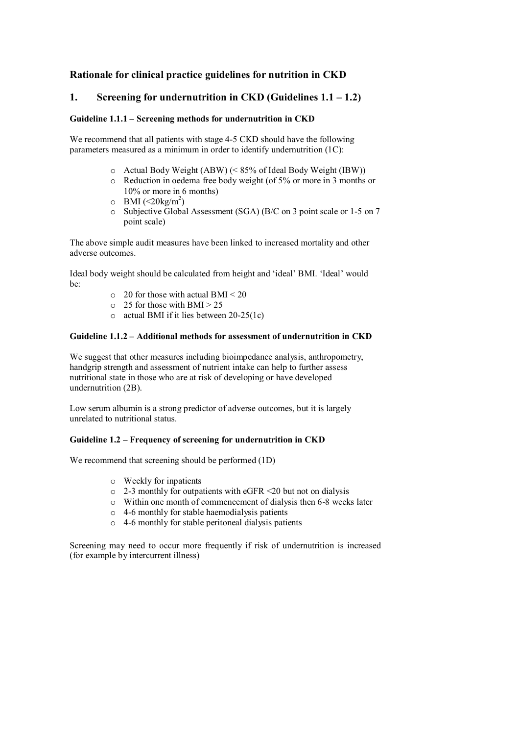# **Rationale for clinical practice guidelines for nutrition in CKD**

## **1. Screening for undernutrition in CKD (Guidelines 1.1 – 1.2)**

### **Guideline 1.1.1 – Screening methods for undernutrition in CKD**

We recommend that all patients with stage 4-5 CKD should have the following parameters measured as a minimum in order to identify undernutrition (1C):

- o Actual Body Weight (ABW) (< 85% of Ideal Body Weight (IBW))
- o Reduction in oedema free body weight (of 5% or more in 3 months or 10% or more in 6 months)
- $\circ$  BMI (<20kg/m<sup>2</sup>)
- o Subjective Global Assessment (SGA) (B/C on 3 point scale or 1-5 on 7 point scale)

The above simple audit measures have been linked to increased mortality and other adverse outcomes.

Ideal body weight should be calculated from height and 'ideal' BMI. 'Ideal' would be:

- $\circ$  20 for those with actual BMI < 20
- $\circ$  25 for those with BMI > 25
- o actual BMI if it lies between 20-25(1c)

## **Guideline 1.1.2 – Additional methods for assessment of undernutrition in CKD**

We suggest that other measures including bioimpedance analysis, anthropometry, handgrip strength and assessment of nutrient intake can help to further assess nutritional state in those who are at risk of developing or have developed undernutrition (2B).

Low serum albumin is a strong predictor of adverse outcomes, but it is largely unrelated to nutritional status.

### **Guideline 1.2 – Frequency of screening for undernutrition in CKD**

We recommend that screening should be performed (1D)

- o Weekly for inpatients
- o 2-3 monthly for outpatients with eGFR <20 but not on dialysis
- o Within one month of commencement of dialysis then 6-8 weeks later
- $\circ$  4-6 monthly for stable haemodialysis patients
- o 4-6 monthly for stable peritoneal dialysis patients

Screening may need to occur more frequently if risk of undernutrition is increased (for example by intercurrent illness)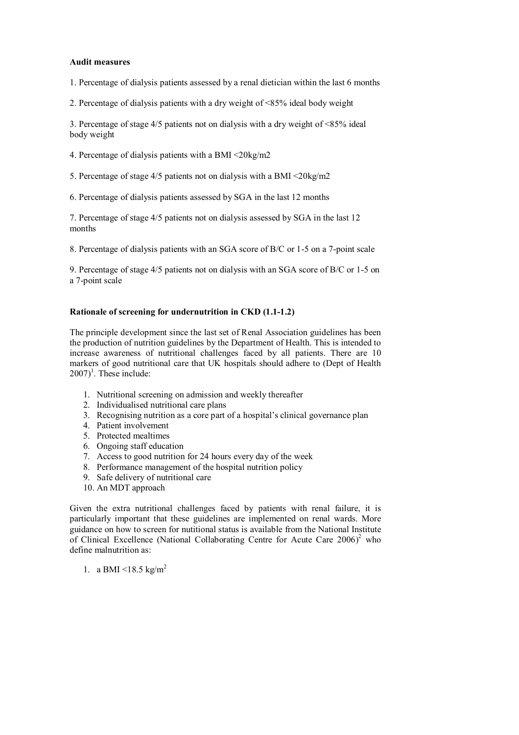### **Audit measures**

1. Percentage of dialysis patients assessed by a renal dietician within the last 6 months

2. Percentage of dialysis patients with a dry weight of <85% ideal body weight

3. Percentage of stage 4/5 patients not on dialysis with a dry weight of <85% ideal body weight

- 4. Percentage of dialysis patients with a BMI <20kg/m2
- 5. Percentage of stage 4/5 patients not on dialysis with a BMI <20kg/m2
- 6. Percentage of dialysis patients assessed by SGA in the last 12 months

7. Percentage of stage 4/5 patients not on dialysis assessed by SGA in the last 12 months

8. Percentage of dialysis patients with an SGA score of B/C or 1-5 on a 7-point scale

9. Percentage of stage 4/5 patients not on dialysis with an SGA score of B/C or 1-5 on a 7-point scale

#### **Rationale of screening for undernutrition in CKD (1.1-1.2)**

The principle development since the last set of Renal Association guidelines has been the production of nutrition guidelines by the Department of Health. This is intended to increase awareness of nutritional challenges faced by all patients. There are 10 markers of good nutritional care that UK hospitals should adhere to (Dept of Health  $(2007)^1$ . These include:

- 1. Nutritional screening on admission and weekly thereafter
- 2. Individualised nutritional care plans
- 3. Recognising nutrition as a core part of a hospital's clinical governance plan
- 4. Patient involvement
- 5. Protected mealtimes
- 6. Ongoing staff education
- 7. Access to good nutrition for 24 hours every day of the week
- 8. Performance management of the hospital nutrition policy
- 9. Safe delivery of nutritional care
- 10. An MDT approach

Given the extra nutritional challenges faced by patients with renal failure, it is particularly important that these guidelines are implemented on renal wards. More guidance on how to screen for nutitional status is available from the National Institute of Clinical Excellence (National Collaborating Centre for Acute Care  $2006$ )<sup>2</sup> who define malnutrition as:

1. a BMI <18.5 kg/m<sup>2</sup>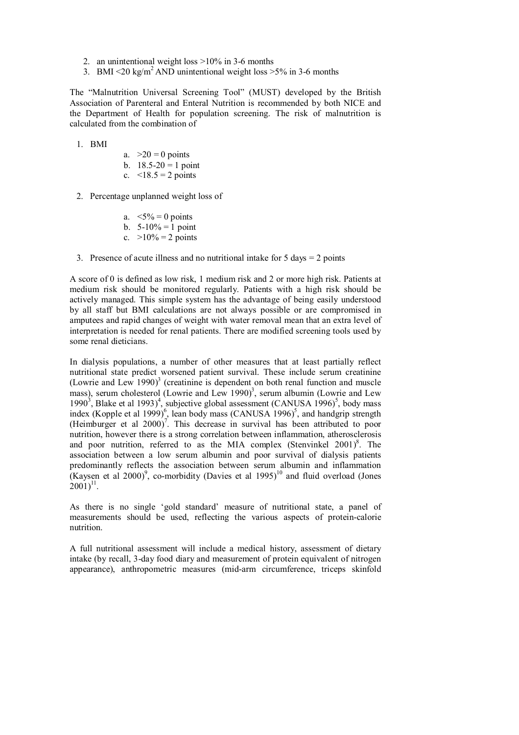- 2. an unintentional weight loss >10% in 3-6 months
- 3. BMI  $\leq$ 20 kg/m<sup>2</sup> AND unintentional weight loss  $>$ 5% in 3-6 months

The "Malnutrition Universal Screening Tool" (MUST) developed by the British Association of Parenteral and Enteral Nutrition is recommended by both NICE and the Department of Health for population screening. The risk of malnutrition is calculated from the combination of

1. BMI

a.  $>20 = 0$  points b.  $18.5 - 20 = 1$  point

- c.  $< 18.5 = 2$  points
- 2. Percentage unplanned weight loss of

a.  $\leq 5\% = 0$  points

- b.  $5-10\% = 1$  point
- c.  $>10\% = 2$  points
- 3. Presence of acute illness and no nutritional intake for  $5 \text{ days} = 2 \text{ points}$

A score of 0 is defined as low risk, 1 medium risk and 2 or more high risk. Patients at medium risk should be monitored regularly. Patients with a high risk should be actively managed. This simple system has the advantage of being easily understood by all staff but BMI calculations are not always possible or are compromised in amputees and rapid changes of weight with water removal mean that an extra level of interpretation is needed for renal patients. There are modified screening tools used by some renal dieticians.

In dialysis populations, a number of other measures that at least partially reflect nutritional state predict worsened patient survival. These include serum creatinine (Lowrie and Lew 1990)<sup>3</sup> (creatinine is dependent on both renal function and muscle mass), serum cholesterol (Lowrie and Lew 1990)<sup>3</sup>, serum albumin (Lowrie and Lew 1990<sup>3</sup>, Blake et al 1993)<sup>4</sup>, subjective global assessment (CANUSA 1996)<sup>5</sup>, body mass index (Kopple et al 1999)<sup>6</sup>, lean body mass (CANUSA 1996)<sup>5</sup>, and handgrip strength (Heimburger et al  $2000$ )<sup>7</sup>. This decrease in survival has been attributed to poor nutrition, however there is a strong correlation between inflammation, atherosclerosis and poor nutrition, referred to as the MIA complex (Stenvinkel  $2001$ )<sup>8</sup>. The association between a low serum albumin and poor survival of dialysis patients predominantly reflects the association between serum albumin and inflammation (Kaysen et al 2000)<sup>9</sup>, co-morbidity (Davies et al 1995)<sup>10</sup> and fluid overload (Jones  $(2001)^{11}$ .

As there is no single 'gold standard' measure of nutritional state, a panel of measurements should be used, reflecting the various aspects of protein-calorie nutrition.

A full nutritional assessment will include a medical history, assessment of dietary intake (by recall, 3-day food diary and measurement of protein equivalent of nitrogen appearance), anthropometric measures (mid-arm circumference, triceps skinfold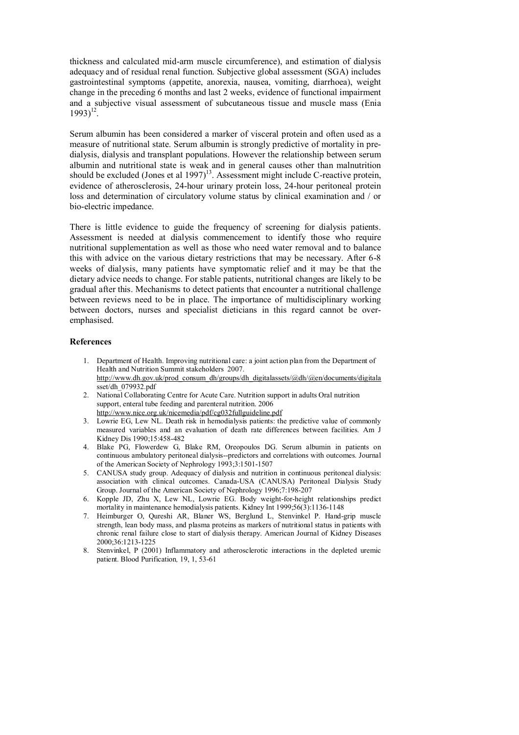thickness and calculated mid-arm muscle circumference), and estimation of dialysis adequacy and of residual renal function. Subjective global assessment (SGA) includes gastrointestinal symptoms (appetite, anorexia, nausea, vomiting, diarrhoea), weight change in the preceding 6 months and last 2 weeks, evidence of functional impairment and a subjective visual assessment of subcutaneous tissue and muscle mass (Enia  $1993)^{12}$ .

Serum albumin has been considered a marker of visceral protein and often used as a measure of nutritional state. Serum albumin is strongly predictive of mortality in predialysis, dialysis and transplant populations. However the relationship between serum albumin and nutritional state is weak and in general causes other than malnutrition should be excluded (Jones et al 1997)<sup>13</sup>. Assessment might include C-reactive protein, evidence of atherosclerosis, 24-hour urinary protein loss, 24-hour peritoneal protein loss and determination of circulatory volume status by clinical examination and / or bio-electric impedance.

There is little evidence to guide the frequency of screening for dialysis patients. Assessment is needed at dialysis commencement to identify those who require nutritional supplementation as well as those who need water removal and to balance this with advice on the various dietary restrictions that may be necessary. After 6-8 weeks of dialysis, many patients have symptomatic relief and it may be that the dietary advice needs to change. For stable patients, nutritional changes are likely to be gradual after this. Mechanisms to detect patients that encounter a nutritional challenge between reviews need to be in place. The importance of multidisciplinary working between doctors, nurses and specialist dieticians in this regard cannot be overemphasised.

- 1. Department of Health. Improving nutritional care: a joint action plan from the Department of Health and Nutrition Summit stakeholders 2007. [http://www.dh.gov.uk/prod\\_consum\\_dh/groups/dh\\_digitalassets/@dh/@en/documents/digitala](http://www.dh.gov.uk/prod_consum_dh/groups/dh_digitalassets/@dh/@en/documents/digitala) sset/dh\_079932.pdf
- 2. National Collaborating Centre for Acute Care. Nutrition support in adults Oral nutrition support, enteral tube feeding and parenteral nutrition. 2006 <http://www.nice.org.uk/nicemedia/pdf/cg032fullguideline.pdf>
- 3. Lowrie EG, Lew NL. Death risk in hemodialysis patients: the predictive value of commonly measured variables and an evaluation of death rate differences between facilities. Am J Kidney Dis 1990;15:458-482
- 4. Blake PG, Flowerdew G, Blake RM, Oreopoulos DG. Serum albumin in patients on continuous ambulatory peritoneal dialysis--predictors and correlations with outcomes. Journal of the American Society of Nephrology 1993;3:1501-1507
- 5. CANUSA study group. Adequacy of dialysis and nutrition in continuous peritoneal dialysis: association with clinical outcomes. Canada-USA (CANUSA) Peritoneal Dialysis Study Group. Journal of the American Society of Nephrology 1996;7:198-207
- 6. Kopple JD, Zhu X, Lew NL, Lowrie EG. Body weight-for-height relationships predict mortality in maintenance hemodialysis patients. Kidney Int 1999;56(3):1136-1148
- 7. Heimburger O, Qureshi AR, Blaner WS, Berglund L, Stenvinkel P. Hand-grip muscle strength, lean body mass, and plasma proteins as markers of nutritional status in patients with chronic renal failure close to start of dialysis therapy. American Journal of Kidney Diseases 2000;36:1213-1225
- 8. Stenvinkel, P (2001) Inflammatory and atherosclerotic interactions in the depleted uremic patient. Blood Purification*,* 19, 1, 53-61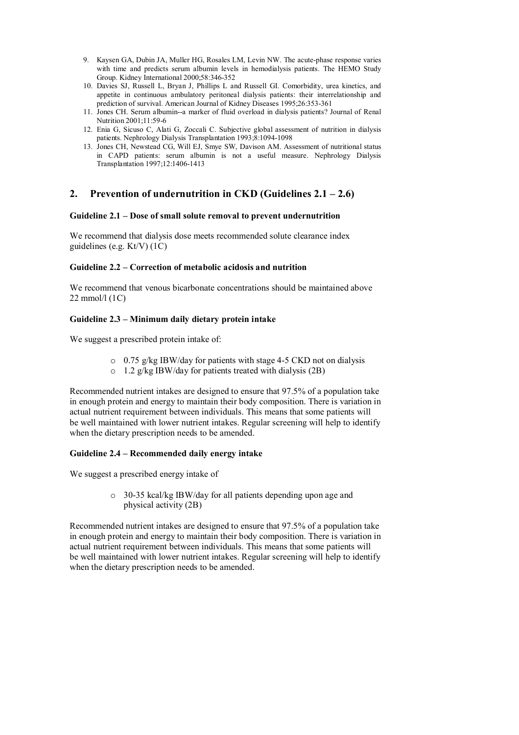- 9. Kaysen GA, Dubin JA, Muller HG, Rosales LM, Levin NW. The acute-phase response varies with time and predicts serum albumin levels in hemodialysis patients. The HEMO Study Group. Kidney International 2000;58:346-352
- 10. Davies SJ, Russell L, Bryan J, Phillips L and Russell GI. Comorbidity, urea kinetics, and appetite in continuous ambulatory peritoneal dialysis patients: their interrelationship and prediction of survival. American Journal of Kidney Diseases 1995;26:353-361
- 11. Jones CH. Serum albumin--a marker of fluid overload in dialysis patients? Journal of Renal Nutrition 2001;11:59-6
- 12. Enia G, Sicuso C, Alati G, Zoccali C. Subjective global assessment of nutrition in dialysis patients. Nephrology Dialysis Transplantation 1993;8:1094-1098
- 13. Jones CH, Newstead CG, Will EJ, Smye SW, Davison AM. Assessment of nutritional status in CAPD patients: serum albumin is not a useful measure. Nephrology Dialysis Transplantation 1997;12:1406-1413

# **2. Prevention of undernutrition in CKD (Guidelines 2.1 – 2.6)**

### **Guideline 2.1 – Dose of small solute removal to prevent undernutrition**

We recommend that dialysis dose meets recommended solute clearance index guidelines (e.g. Kt/V) (1C)

## **Guideline 2.2 – Correction of metabolic acidosis and nutrition**

We recommend that venous bicarbonate concentrations should be maintained above 22 mmol/l (1C)

## **Guideline 2.3 – Minimum daily dietary protein intake**

We suggest a prescribed protein intake of:

- o 0.75 g/kg IBW/day for patients with stage 4-5 CKD not on dialysis
- o 1.2 g/kg IBW/day for patients treated with dialysis (2B)

Recommended nutrient intakes are designed to ensure that 97.5% of a population take in enough protein and energy to maintain their body composition. There is variation in actual nutrient requirement between individuals. This means that some patients will be well maintained with lower nutrient intakes. Regular screening will help to identify when the dietary prescription needs to be amended.

## **Guideline 2.4 – Recommended daily energy intake**

We suggest a prescribed energy intake of

o 30-35 kcal/kg IBW/day for all patients depending upon age and physical activity (2B)

Recommended nutrient intakes are designed to ensure that 97.5% of a population take in enough protein and energy to maintain their body composition. There is variation in actual nutrient requirement between individuals. This means that some patients will be well maintained with lower nutrient intakes. Regular screening will help to identify when the dietary prescription needs to be amended.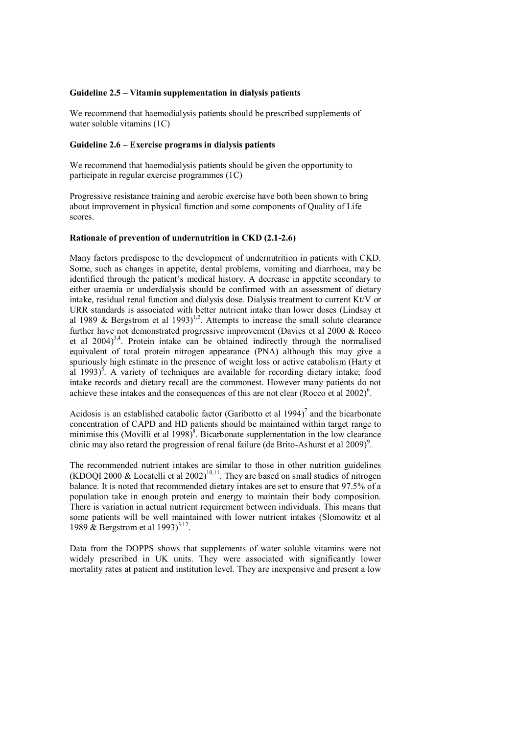#### **Guideline 2.5 – Vitamin supplementation in dialysis patients**

We recommend that haemodialysis patients should be prescribed supplements of water soluble vitamins (1C)

### **Guideline 2.6 – Exercise programs in dialysis patients**

We recommend that haemodialysis patients should be given the opportunity to participate in regular exercise programmes (1C)

Progressive resistance training and aerobic exercise have both been shown to bring about improvement in physical function and some components of Quality of Life scores.

### **Rationale of prevention of undernutrition in CKD (2.1-2.6)**

Many factors predispose to the development of undernutrition in patients with CKD. Some, such as changes in appetite, dental problems, vomiting and diarrhoea, may be identified through the patient's medical history. A decrease in appetite secondary to either uraemia or underdialysis should be confirmed with an assessment of dietary intake, residual renal function and dialysis dose. Dialysis treatment to current Kt/V or URR standards is associated with better nutrient intake than lower doses (Lindsay et al 1989 & Bergstrom et al 1993)<sup>1,2</sup>. Attempts to increase the small solute clearance further have not demonstrated progressive improvement (Davies et al 2000 & Rocco et al  $2004)^{3,4}$ . Protein intake can be obtained indirectly through the normalised equivalent of total protein nitrogen appearance (PNA) although this may give a spuriously high estimate in the presence of weight loss or active catabolism (Harty et al  $1993$ <sup>5</sup>. A variety of techniques are available for recording dietary intake; food intake records and dietary recall are the commonest. However many patients do not achieve these intakes and the consequences of this are not clear (Rocco et al  $2002$ )<sup>6</sup>.

Acidosis is an established catabolic factor (Garibotto et al 1994)<sup>7</sup> and the bicarbonate concentration of CAPD and HD patients should be maintained within target range to minimise this (Movilli et al 1998)<sup>8</sup>. Bicarbonate supplementation in the low clearance clinic may also retard the progression of renal failure (de Brito-Ashurst et al 2009)<sup>9</sup>.

The recommended nutrient intakes are similar to those in other nutrition guidelines (KDOQI 2000 & Locatelli et al 2002)<sup>10,11</sup>. They are based on small studies of nitrogen balance. It is noted that recommended dietary intakes are set to ensure that 97.5% of a population take in enough protein and energy to maintain their body composition. There is variation in actual nutrient requirement between individuals. This means that some patients will be well maintained with lower nutrient intakes (Slomowitz et al 1989  $\&$  Bergstrom et al 1993)<sup>3,12</sup>.

Data from the DOPPS shows that supplements of water soluble vitamins were not widely prescribed in UK units. They were associated with significantly lower mortality rates at patient and institution level. They are inexpensive and present a low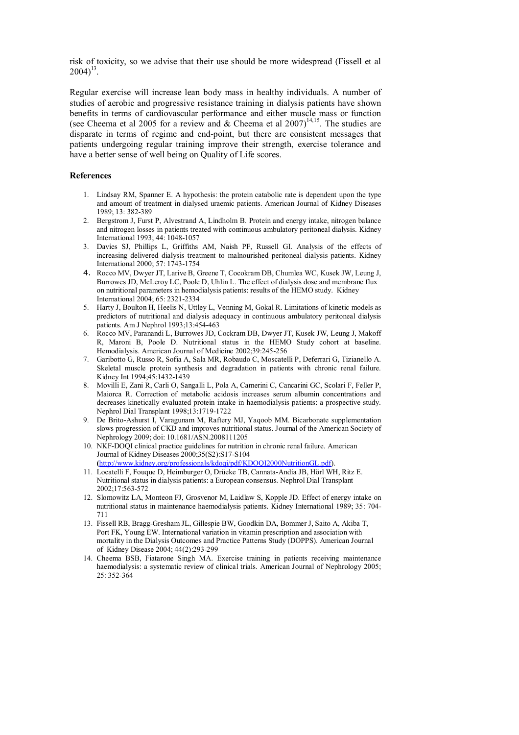risk of toxicity, so we advise that their use should be more widespread (Fissell et al  $2004)^{13}$ .

Regular exercise will increase lean body mass in healthy individuals. A number of studies of aerobic and progressive resistance training in dialysis patients have shown benefits in terms of cardiovascular performance and either muscle mass or function (see Cheema et al 2005 for a review and  $&$  Cheema et al 2007)<sup>14,15</sup>. The studies are disparate in terms of regime and end-point, but there are consistent messages that patients undergoing regular training improve their strength, exercise tolerance and have a better sense of well being on Quality of Life scores.

- 1. Lindsay RM, Spanner E. A hypothesis: the protein catabolic rate is dependent upon the type and amount of treatment in dialysed uraemic patients. American Journal of Kidney Diseases 1989; 13: 382-389
- 2. Bergstrom J, Furst P, Alvestrand A, Lindholm B. Protein and energy intake, nitrogen balance and nitrogen losses in patients treated with continuous ambulatory peritoneal dialysis. Kidney International 1993; 44: 1048-1057
- 3. Davies SJ, Phillips L, Griffiths AM, Naish PF, Russell GI. Analysis of the effects of increasing delivered dialysis treatment to malnourished peritoneal dialysis patients. Kidney International 2000; 57: 1743-1754
- 4. Rocco MV, Dwyer JT, Larive B, Greene T, Cocokram DB, Chumlea WC, Kusek JW, Leung J, Burrowes JD, McLeroy LC, Poole D, Uhlin L. The effect of dialysis dose and membrane flux on nutritional parameters in hemodialysis patients: results of the HEMO study. Kidney International 2004; 65: 2321-2334
- 5. Harty J, Boulton H, Heelis N, Uttley L, Venning M, Gokal R. Limitations of kinetic models as predictors of nutritional and dialysis adequacy in continuous ambulatory peritoneal dialysis patients. Am J Nephrol 1993;13:454-463
- 6. Rocco MV, Paranandi L, Burrowes JD, Cockram DB, Dwyer JT, Kusek JW, Leung J, Makoff R, Maroni B, Poole D. Nutritional status in the HEMO Study cohort at baseline. Hemodialysis. American Journal of Medicine 2002;39:245-256
- 7. Garibotto G, Russo R, Sofia A, Sala MR, Robaudo C, Moscatelli P, Deferrari G, Tizianello A. Skeletal muscle protein synthesis and degradation in patients with chronic renal failure. Kidney Int 1994;45:1432-1439
- 8. Movilli E, Zani R, Carli O, Sangalli L, Pola A, Camerini C, Cancarini GC, Scolari F, Feller P, Maiorca R. Correction of metabolic acidosis increases serum albumin concentrations and decreases kinetically evaluated protein intake in haemodialysis patients: a prospective study. Nephrol Dial Transplant 1998;13:1719-1722
- 9. De Brito-Ashurst I, Varagunam M, Raftery MJ, Yaqoob MM. Bicarbonate supplementation slows progression of CKD and improves nutritional status. Journal of the American Society of Nephrology 2009; doi: 10.1681/ASN.2008111205
- 10. NKF-DOQI clinical practice guidelines for nutrition in chronic renal failure. American Journal of Kidney Diseases 2000;35(S2):S17-S104 **(**[http://www.kidney.org/professionals/kdoqi/pdf/KDOQI2000NutritionGL.pdf\)](http://www.kidney.org/professionals/kdoqi/pdf/KDOQI2000NutritionGL.pdf).
- 11. Locatelli F, Fouque D, Heimburger O, Drüeke TB, Cannata-Andía JB, Hörl WH, Ritz E. Nutritional status in dialysis patients: a European consensus. Nephrol Dial Transplant 2002;17:563-572
- 12. Slomowitz LA, Monteon FJ, Grosvenor M, Laidlaw S, Kopple JD. Effect of energy intake on nutritional status in maintenance haemodialysis patients. Kidney International 1989; 35: 704- 711
- 13. Fissell RB, Bragg-Gresham JL, Gillespie BW, Goodkin DA, Bommer J, Saito A, Akiba T, Port FK. Young EW. International variation in vitamin prescription and association with mortality in the Dialysis Outcomes and Practice Patterns Study (DOPPS). American Journal of Kidney Disease 2004; 44(2):293-299
- 14. Cheema BSB, Fiatarone Singh MA. Exercise training in patients receiving maintenance haemodialysis: a systematic review of clinical trials. American Journal of Nephrology 2005; 25: 352-364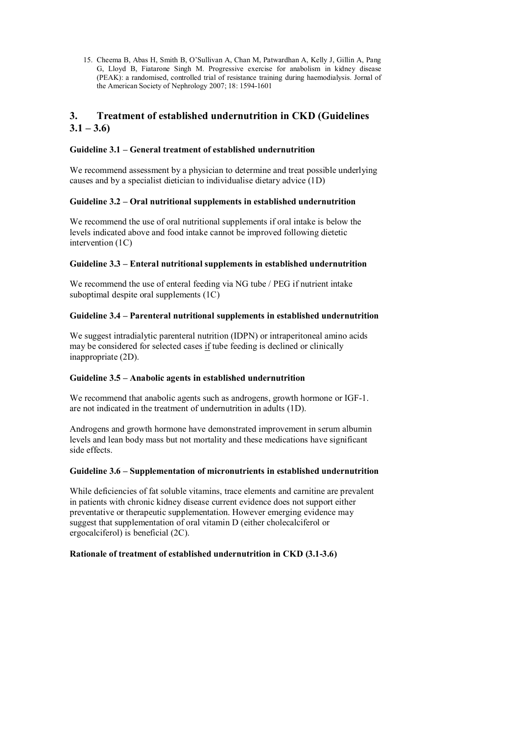15. Cheema B, Abas H, Smith B, O'Sullivan A, Chan M, Patwardhan A, Kelly J, Gillin A, Pang G, Lloyd B, Fiatarone Singh M. Progressive exercise for anabolism in kidney disease (PEAK): a randomised, controlled trial of resistance training during haemodialysis. Jornal of the American Society of Nephrology 2007; 18: 1594-1601

# **3. Treatment of established undernutrition in CKD (Guidelines**   $3.1 - 3.6$

### **Guideline 3.1 – General treatment of established undernutrition**

We recommend assessment by a physician to determine and treat possible underlying causes and by a specialist dietician to individualise dietary advice (1D)

### **Guideline 3.2 – Oral nutritional supplements in established undernutrition**

We recommend the use of oral nutritional supplements if oral intake is below the levels indicated above and food intake cannot be improved following dietetic intervention (1C)

#### **Guideline 3.3 – Enteral nutritional supplements in established undernutrition**

We recommend the use of enteral feeding via NG tube / PEG if nutrient intake suboptimal despite oral supplements (1C)

#### **Guideline 3.4 – Parenteral nutritional supplements in established undernutrition**

We suggest intradialytic parenteral nutrition (IDPN) or intraperitoneal amino acids may be considered for selected cases if tube feeding is declined or clinically inappropriate (2D).

### **Guideline 3.5 – Anabolic agents in established undernutrition**

We recommend that anabolic agents such as androgens, growth hormone or IGF-1. are not indicated in the treatment of undernutrition in adults (1D).

Androgens and growth hormone have demonstrated improvement in serum albumin levels and lean body mass but not mortality and these medications have significant side effects.

#### **Guideline 3.6 – Supplementation of micronutrients in established undernutrition**

While deficiencies of fat soluble vitamins, trace elements and carnitine are prevalent in patients with chronic kidney disease current evidence does not support either preventative or therapeutic supplementation. However emerging evidence may suggest that supplementation of oral vitamin D (either cholecalciferol or ergocalciferol) is beneficial (2C).

#### **Rationale of treatment of established undernutrition in CKD (3.1-3.6)**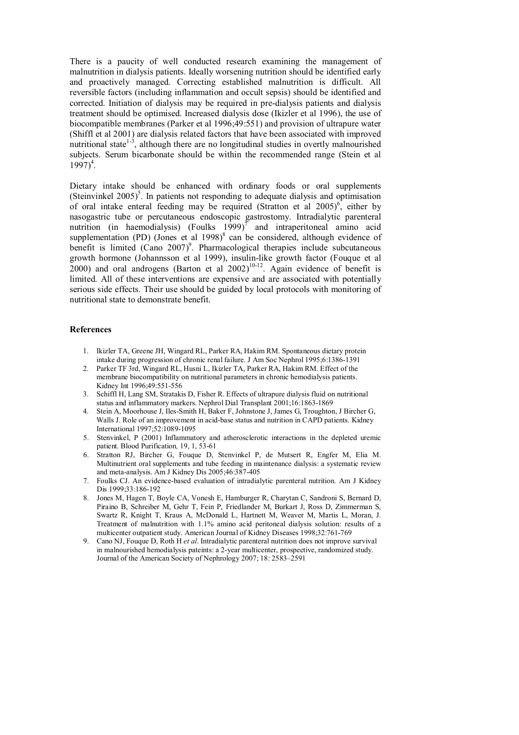There is a paucity of well conducted research examining the management of malnutrition in dialysis patients. Ideally worsening nutrition should be identified early and proactively managed. Correcting established malnutrition is difficult. All reversible factors (including inflammation and occult sepsis) should be identified and corrected. Initiation of dialysis may be required in pre-dialysis patients and dialysis treatment should be optimised. Increased dialysis dose (Ikizler et al 1996), the use of biocompatible membranes (Parker et al 1996;49:551) and provision of ultrapure water (Shiffl et al 2001) are dialysis related factors that have been associated with improved nutritional state<sup>1-3</sup>, although there are no longitudinal studies in overtly malnourished subjects. Serum bicarbonate should be within the recommended range (Stein et al  $1997)^4$ .

Dietary intake should be enhanced with ordinary foods or oral supplements (Steinvinkel  $2005$ <sup>5</sup>. In patients not responding to adequate dialysis and optimisation of oral intake enteral feeding may be required (Stratton et al  $2005$ )<sup>6</sup>, either by nasogastric tube or percutaneous endoscopic gastrostomy. Intradialytic parenteral nutrition (in haemodialysis) (Foulks  $1999$ )<sup>7</sup> and intraperitoneal amino acid supplementation (PD) (Jones et al  $1998$ )<sup>8</sup> can be considered, although evidence of benefit is limited  $(Cano 2007)^9$ . Pharmacological therapies include subcutaneous growth hormone (Johannsson et al 1999), insulin-like growth factor (Fouque et al  $2000$ ) and oral androgens (Barton et al  $2002$ )<sup>10-12</sup>. Again evidence of benefit is limited. All of these interventions are expensive and are associated with potentially serious side effects. Their use should be guided by local protocols with monitoring of nutritional state to demonstrate benefit.

- 1. Ikizler TA, Greene JH, Wingard RL, Parker RA, Hakim RM. Spontaneous dietary protein intake during progression of chronic renal failure. J Am Soc Nephrol 1995;6:1386-1391
- 2. Parker TF 3rd, Wingard RL, Husni L, Ikizler TA, Parker RA, Hakim RM. Effect of the membrane biocompatibility on nutritional parameters in chronic hemodialysis patients. Kidney Int 1996;49:551-556
- 3. Schiffl H, Lang SM, Stratakis D, Fisher R. Effects of ultrapure dialysis fluid on nutritional status and inflammatory markers. Nephrol Dial Transplant 2001;16:1863-1869
- 4. Stein A, Moorhouse J, Iles-Smith H, Baker F, Johnstone J, James G, Troughton, J Bircher G, Walls J. Role of an improvement in acid-base status and nutrition in CAPD patients. Kidney International 1997;52:1089-1095
- 5. Stenvinkel, P (2001) Inflammatory and atherosclerotic interactions in the depleted uremic patient. Blood Purification*,* 19, 1, 53-61
- 6. Stratton RJ, Bircher G, Fouque D, Stenvinkel P, de Mutsert R, Engfer M, Elia M. Multinutrient oral supplements and tube feeding in maintenance dialysis: a systematic review and meta-analysis. Am J Kidney Dis 2005;46:387-405
- 7. Foulks CJ. An evidence-based evaluation of intradialytic parenteral nutrition. Am J Kidney Dis 1999;33:186-192
- 8. Jones M, Hagen T, Boyle CA, Vonesh E, Hamburger R, Charytan C, Sandroni S, Bernard D, Piraino B, Schreiber M, Gehr T, Fein P, Friedlander M, Burkart J, Ross D, Zimmerman S, Swartz R, Knight T, Kraus A, McDonald L, Hartnett M, Weaver M, Martis L, Moran, J. Treatment of malnutrition with 1.1% amino acid peritoneal dialysis solution: results of a multicenter outpatient study. American Journal of Kidney Diseases 1998;32:761-769
- 9. Cano NJ, Fouque D, Roth H *et al*. Intradialytic parenteral nutrition does not improve survival in malnourished hemodialysis pateints: a 2-year multicenter, prospective, randomized study. Journal of the American Society of Nephrology 2007; 18: 2583–2591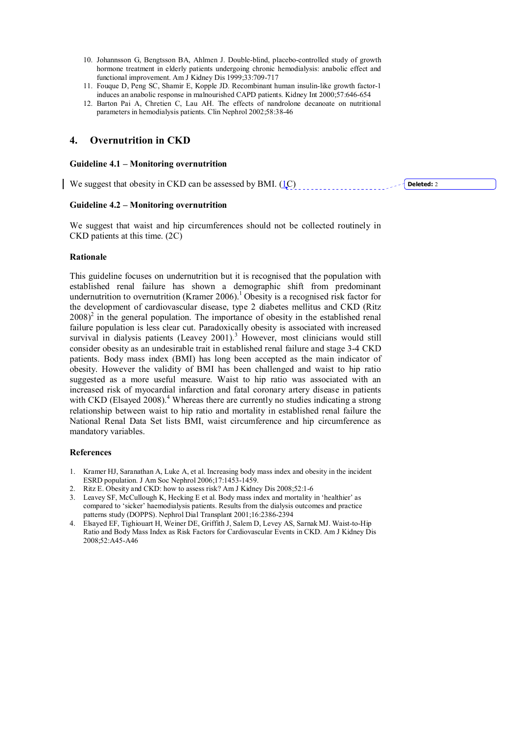- 10. Johannsson G, Bengtsson BA, Ahlmen J. Double-blind, placebo-controlled study of growth hormone treatment in elderly patients undergoing chronic hemodialysis: anabolic effect and functional improvement. Am J Kidney Dis 1999;33:709-717
- 11. Fouque D, Peng SC, Shamir E, Kopple JD. Recombinant human insulin-like growth factor-1 induces an anabolic response in malnourished CAPD patients. Kidney Int 2000;57:646-654
- 12. Barton Pai A, Chretien C, Lau AH. The effects of nandrolone decanoate on nutritional parameters in hemodialysis patients. Clin Nephrol 2002;58:38-46

## **4. Overnutrition in CKD**

#### **Guideline 4.1 – Monitoring overnutrition**

We suggest that obesity in CKD can be assessed by BMI.  $(1C)$ **Deleted:** 2

### **Guideline 4.2 – Monitoring overnutrition**

We suggest that waist and hip circumferences should not be collected routinely in CKD patients at this time. (2C)

#### **Rationale**

This guideline focuses on undernutrition but it is recognised that the population with established renal failure has shown a demographic shift from predominant undernutrition to overnutrition (Kramer  $2006$ ).<sup>1</sup> Obesity is a recognised risk factor for the development of cardiovascular disease, type 2 diabetes mellitus and CKD (Ritz  $2008$ <sup>2</sup> in the general population. The importance of obesity in the established renal failure population is less clear cut. Paradoxically obesity is associated with increased survival in dialysis patients (Leavey 2001).<sup>3</sup> However, most clinicians would still consider obesity as an undesirable trait in established renal failure and stage 3-4 CKD patients. Body mass index (BMI) has long been accepted as the main indicator of obesity. However the validity of BMI has been challenged and waist to hip ratio suggested as a more useful measure. Waist to hip ratio was associated with an increased risk of myocardial infarction and fatal coronary artery disease in patients with CKD (Elsayed 2008).<sup>4</sup> Whereas there are currently no studies indicating a strong relationship between waist to hip ratio and mortality in established renal failure the National Renal Data Set lists BMI, waist circumference and hip circumference as mandatory variables.

- 1. Kramer HJ, Saranathan A, Luke A, et al. Increasing body mass index and obesity in the incident ESRD population. J Am Soc Nephrol 2006;17:1453-1459.
- 2. Ritz E. Obesity and CKD: how to assess risk? Am J Kidney Dis 2008;52:1-6
- 3. Leavey SF, McCullough K, Hecking E et al. Body mass index and mortality in 'healthier' as compared to 'sicker' haemodialysis patients. Results from the dialysis outcomes and practice patterns study (DOPPS). Nephrol Dial Transplant 2001;16:2386-2394
- 4. Elsayed EF, Tighiouart H, Weiner DE, Griffith J, Salem D, Levey AS, Sarnak MJ. Waist-to-Hip Ratio and Body Mass Index as Risk Factors for Cardiovascular Events in CKD. Am J Kidney Dis 2008;52:A45-A46